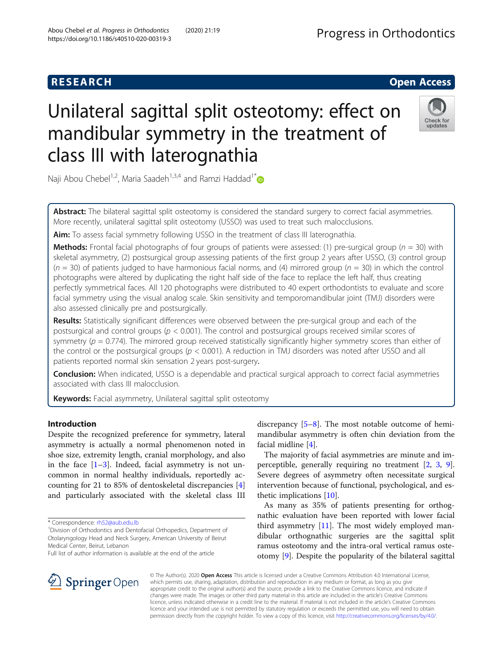# **RESEARCH CHE Open Access**

# Unilateral sagittal split osteotomy: effect on mandibular symmetry in the treatment of class III with laterognathia



Naji Abou Chebel<sup>1,2</sup>, Maria Saadeh<sup>1,3,4</sup> and Ramzi Haddad<sup>1[\\*](http://orcid.org/0000-0002-4432-0087)</sup>

Abstract: The bilateral sagittal split osteotomy is considered the standard surgery to correct facial asymmetries. More recently, unilateral sagittal split osteotomy (USSO) was used to treat such malocclusions.

Aim: To assess facial symmetry following USSO in the treatment of class III laterognathia.

**Methods:** Frontal facial photographs of four groups of patients were assessed: (1) pre-surgical group ( $n = 30$ ) with skeletal asymmetry, (2) postsurgical group assessing patients of the first group 2 years after USSO, (3) control group  $(n = 30)$  of patients judged to have harmonious facial norms, and (4) mirrored group  $(n = 30)$  in which the control photographs were altered by duplicating the right half side of the face to replace the left half, thus creating perfectly symmetrical faces. All 120 photographs were distributed to 40 expert orthodontists to evaluate and score facial symmetry using the visual analog scale. Skin sensitivity and temporomandibular joint (TMJ) disorders were also assessed clinically pre and postsurgically.

Results: Statistically significant differences were observed between the pre-surgical group and each of the postsurgical and control groups ( $p < 0.001$ ). The control and postsurgical groups received similar scores of symmetry ( $p = 0.774$ ). The mirrored group received statistically significantly higher symmetry scores than either of the control or the postsurgical groups ( $p < 0.001$ ). A reduction in TMJ disorders was noted after USSO and all patients reported normal skin sensation 2 years post-surgery.

Conclusion: When indicated, USSO is a dependable and practical surgical approach to correct facial asymmetries associated with class III malocclusion.

Keywords: Facial asymmetry, Unilateral sagittal split osteotomy

# Introduction

Despite the recognized preference for symmetry, lateral asymmetry is actually a normal phenomenon noted in shoe size, extremity length, cranial morphology, and also in the face  $[1-3]$  $[1-3]$  $[1-3]$  $[1-3]$ . Indeed, facial asymmetry is not uncommon in normal healthy individuals, reportedly accounting for 21 to 85% of dentoskeletal discrepancies [\[4](#page-7-0)] and particularly associated with the skeletal class III

<sup>1</sup>Division of Orthodontics and Dentofacial Orthopedics, Department of Otolaryngology Head and Neck Surgery, American University of Beirut Medical Center, Beirut, Lebanon

discrepancy [[5](#page-7-0)–[8](#page-7-0)]. The most notable outcome of hemimandibular asymmetry is often chin deviation from the facial midline [[4\]](#page-7-0).

The majority of facial asymmetries are minute and imperceptible, generally requiring no treatment [\[2](#page-7-0), [3](#page-7-0), [9](#page-7-0)]. Severe degrees of asymmetry often necessitate surgical intervention because of functional, psychological, and esthetic implications [[10\]](#page-7-0).

As many as 35% of patients presenting for orthognathic evaluation have been reported with lower facial third asymmetry  $[11]$  $[11]$ . The most widely employed mandibular orthognathic surgeries are the sagittal split ramus osteotomy and the intra-oral vertical ramus osteotomy [\[9](#page-7-0)]. Despite the popularity of the bilateral sagittal



© The Author(s). 2020 Open Access This article is licensed under a Creative Commons Attribution 4.0 International License, which permits use, sharing, adaptation, distribution and reproduction in any medium or format, as long as you give appropriate credit to the original author(s) and the source, provide a link to the Creative Commons licence, and indicate if changes were made. The images or other third party material in this article are included in the article's Creative Commons licence, unless indicated otherwise in a credit line to the material. If material is not included in the article's Creative Commons licence and your intended use is not permitted by statutory regulation or exceeds the permitted use, you will need to obtain permission directly from the copyright holder. To view a copy of this licence, visit <http://creativecommons.org/licenses/by/4.0/>.

<sup>\*</sup> Correspondence: [rh52@aub.edu.lb](mailto:rh52@aub.edu.lb) <sup>1</sup>

Full list of author information is available at the end of the article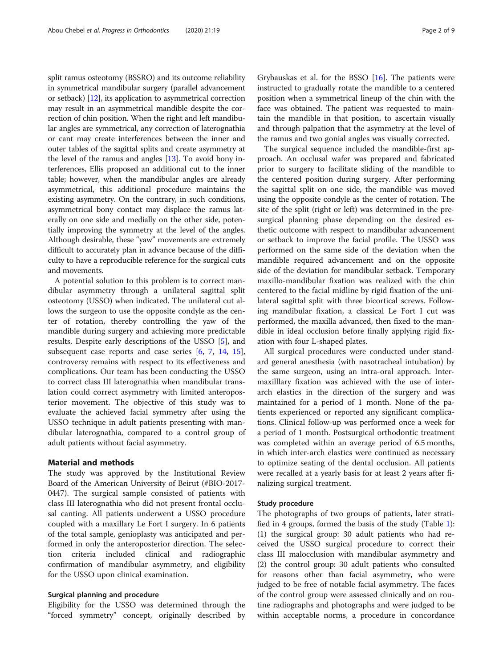split ramus osteotomy (BSSRO) and its outcome reliability in symmetrical mandibular surgery (parallel advancement or setback) [[12](#page-7-0)], its application to asymmetrical correction may result in an asymmetrical mandible despite the correction of chin position. When the right and left mandibular angles are symmetrical, any correction of laterognathia or cant may create interferences between the inner and outer tables of the sagittal splits and create asymmetry at the level of the ramus and angles  $[13]$  $[13]$  $[13]$ . To avoid bony interferences, Ellis proposed an additional cut to the inner table; however, when the mandibular angles are already asymmetrical, this additional procedure maintains the existing asymmetry. On the contrary, in such conditions, asymmetrical bony contact may displace the ramus laterally on one side and medially on the other side, potentially improving the symmetry at the level of the angles. Although desirable, these "yaw" movements are extremely difficult to accurately plan in advance because of the difficulty to have a reproducible reference for the surgical cuts and movements.

A potential solution to this problem is to correct mandibular asymmetry through a unilateral sagittal split osteotomy (USSO) when indicated. The unilateral cut allows the surgeon to use the opposite condyle as the center of rotation, thereby controlling the yaw of the mandible during surgery and achieving more predictable results. Despite early descriptions of the USSO [\[5](#page-7-0)], and subsequent case reports and case series [\[6,](#page-7-0) [7,](#page-7-0) [14](#page-7-0), [15](#page-7-0)], controversy remains with respect to its effectiveness and complications. Our team has been conducting the USSO to correct class III laterognathia when mandibular translation could correct asymmetry with limited anteroposterior movement. The objective of this study was to evaluate the achieved facial symmetry after using the USSO technique in adult patients presenting with mandibular laterognathia, compared to a control group of adult patients without facial asymmetry.

#### Material and methods

The study was approved by the Institutional Review Board of the American University of Beirut (#BIO-2017- 0447). The surgical sample consisted of patients with class III laterognathia who did not present frontal occlusal canting. All patients underwent a USSO procedure coupled with a maxillary Le Fort I surgery. In 6 patients of the total sample, genioplasty was anticipated and performed in only the anteroposterior direction. The selection criteria included clinical and radiographic confirmation of mandibular asymmetry, and eligibility for the USSO upon clinical examination.

#### Surgical planning and procedure

Eligibility for the USSO was determined through the "forced symmetry" concept, originally described by

Grybauskas et al. for the BSSO [[16\]](#page-7-0). The patients were instructed to gradually rotate the mandible to a centered position when a symmetrical lineup of the chin with the face was obtained. The patient was requested to maintain the mandible in that position, to ascertain visually and through palpation that the asymmetry at the level of the ramus and two gonial angles was visually corrected.

The surgical sequence included the mandible-first approach. An occlusal wafer was prepared and fabricated prior to surgery to facilitate sliding of the mandible to the centered position during surgery. After performing the sagittal split on one side, the mandible was moved using the opposite condyle as the center of rotation. The site of the split (right or left) was determined in the presurgical planning phase depending on the desired esthetic outcome with respect to mandibular advancement or setback to improve the facial profile. The USSO was performed on the same side of the deviation when the mandible required advancement and on the opposite side of the deviation for mandibular setback. Temporary maxillo-mandibular fixation was realized with the chin centered to the facial midline by rigid fixation of the unilateral sagittal split with three bicortical screws. Following mandibular fixation, a classical Le Fort I cut was performed, the maxilla advanced, then fixed to the mandible in ideal occlusion before finally applying rigid fixation with four L-shaped plates.

All surgical procedures were conducted under standard general anesthesia (with nasotracheal intubation) by the same surgeon, using an intra-oral approach. Intermaxilllary fixation was achieved with the use of interarch elastics in the direction of the surgery and was maintained for a period of 1 month. None of the patients experienced or reported any significant complications. Clinical follow-up was performed once a week for a period of 1 month. Postsurgical orthodontic treatment was completed within an average period of 6.5 months, in which inter-arch elastics were continued as necessary to optimize seating of the dental occlusion. All patients were recalled at a yearly basis for at least 2 years after finalizing surgical treatment.

#### Study procedure

The photographs of two groups of patients, later stratified in 4 groups, formed the basis of the study (Table [1](#page-2-0)): (1) the surgical group: 30 adult patients who had received the USSO surgical procedure to correct their class III malocclusion with mandibular asymmetry and (2) the control group: 30 adult patients who consulted for reasons other than facial asymmetry, who were judged to be free of notable facial asymmetry. The faces of the control group were assessed clinically and on routine radiographs and photographs and were judged to be within acceptable norms, a procedure in concordance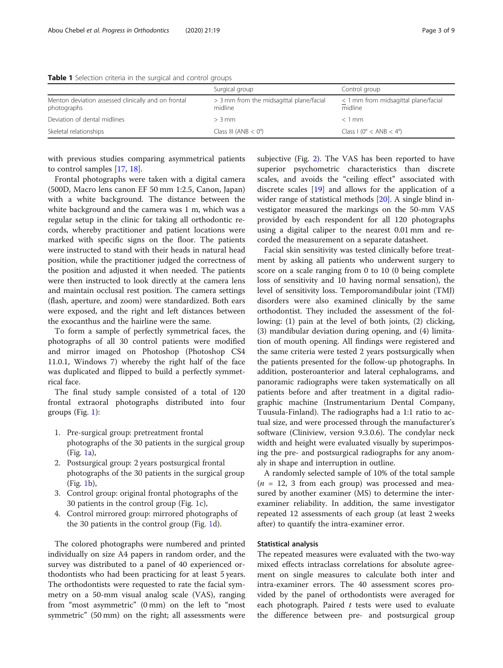<span id="page-2-0"></span>

| Table 1 Selection criteria in the surgical and control groups |  |  |  |  |
|---------------------------------------------------------------|--|--|--|--|
|                                                               |  |  |  |  |

|                                                                    | Surgical group                                      | Control group                                   |
|--------------------------------------------------------------------|-----------------------------------------------------|-------------------------------------------------|
| Menton deviation assessed clinically and on frontal<br>photographs | > 3 mm from the midsagittal plane/facial<br>midline | < 1 mm from midsagittal plane/facial<br>midline |
| Deviation of dental midlines                                       | $> 3 \,\mathrm{mm}$                                 | $< 1$ mm                                        |
| Skeletal relationships                                             | Class III (ANB $<$ 0°)                              | Class I ( $0^\circ$ < ANB < 4 $^\circ$ )        |

with previous studies comparing asymmetrical patients to control samples [[17,](#page-7-0) [18](#page-7-0)].

Frontal photographs were taken with a digital camera (500D, Macro lens canon EF 50 mm 1:2.5, Canon, Japan) with a white background. The distance between the white background and the camera was 1 m, which was a regular setup in the clinic for taking all orthodontic records, whereby practitioner and patient locations were marked with specific signs on the floor. The patients were instructed to stand with their heads in natural head position, while the practitioner judged the correctness of the position and adjusted it when needed. The patients were then instructed to look directly at the camera lens and maintain occlusal rest position. The camera settings (flash, aperture, and zoom) were standardized. Both ears were exposed, and the right and left distances between the exocanthus and the hairline were the same.

To form a sample of perfectly symmetrical faces, the photographs of all 30 control patients were modified and mirror imaged on Photoshop (Photoshop CS4 11.0.1, Windows 7) whereby the right half of the face was duplicated and flipped to build a perfectly symmetrical face.

The final study sample consisted of a total of 120 frontal extraoral photographs distributed into four groups (Fig. [1\)](#page-3-0):

- 1. Pre-surgical group: pretreatment frontal photographs of the 30 patients in the surgical group (Fig. [1](#page-3-0)a),
- 2. Postsurgical group: 2 years postsurgical frontal photographs of the 30 patients in the surgical group (Fig. [1](#page-3-0)b),
- 3. Control group: original frontal photographs of the 30 patients in the control group (Fig. [1](#page-3-0)c),
- 4. Control mirrored group: mirrored photographs of the 30 patients in the control group (Fig. [1](#page-3-0)d).

The colored photographs were numbered and printed individually on size A4 papers in random order, and the survey was distributed to a panel of 40 experienced orthodontists who had been practicing for at least 5 years. The orthodontists were requested to rate the facial symmetry on a 50-mm visual analog scale (VAS), ranging from "most asymmetric" (0 mm) on the left to "most symmetric" (50 mm) on the right; all assessments were subjective (Fig. [2](#page-4-0)). The VAS has been reported to have superior psychometric characteristics than discrete scales, and avoids the "ceiling effect" associated with discrete scales [[19\]](#page-7-0) and allows for the application of a wider range of statistical methods [[20\]](#page-7-0). A single blind investigator measured the markings on the 50-mm VAS provided by each respondent for all 120 photographs using a digital caliper to the nearest 0.01 mm and recorded the measurement on a separate datasheet.

Facial skin sensitivity was tested clinically before treatment by asking all patients who underwent surgery to score on a scale ranging from 0 to 10 (0 being complete loss of sensitivity and 10 having normal sensation), the level of sensitivity loss. Temporomandibular joint (TMJ) disorders were also examined clinically by the same orthodontist. They included the assessment of the following: (1) pain at the level of both joints, (2) clicking, (3) mandibular deviation during opening, and (4) limitation of mouth opening. All findings were registered and the same criteria were tested 2 years postsurgically when the patients presented for the follow-up photographs. In addition, posteroanterior and lateral cephalograms, and panoramic radiographs were taken systematically on all patients before and after treatment in a digital radiographic machine (Instrumentarium Dental Company, Tuusula-Finland). The radiographs had a 1:1 ratio to actual size, and were processed through the manufacturer's software (Cliniview, version 9.3.0.6). The condylar neck width and height were evaluated visually by superimposing the pre- and postsurgical radiographs for any anomaly in shape and interruption in outline.

A randomly selected sample of 10% of the total sample  $(n = 12, 3$  from each group) was processed and measured by another examiner (MS) to determine the interexaminer reliability. In addition, the same investigator repeated 12 assessments of each group (at least 2 weeks after) to quantify the intra-examiner error.

### Statistical analysis

The repeated measures were evaluated with the two-way mixed effects intraclass correlations for absolute agreement on single measures to calculate both inter and intra-examiner errors. The 40 assessment scores provided by the panel of orthodontists were averaged for each photograph. Paired  $t$  tests were used to evaluate the difference between pre- and postsurgical group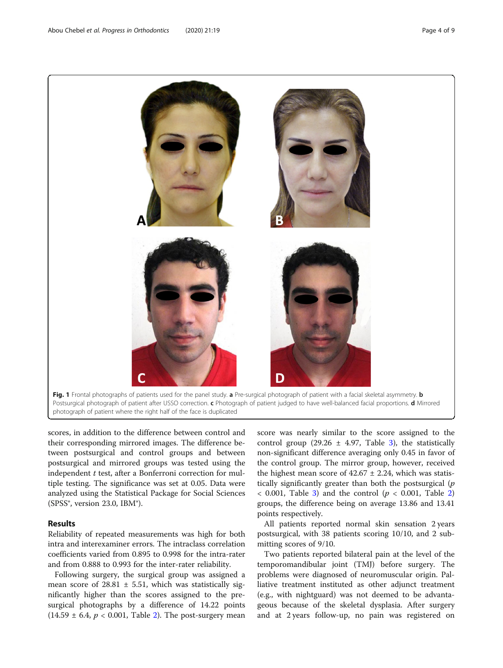<span id="page-3-0"></span>

Postsurgical photograph of patient after USSO correction. c Photograph of patient judged to have well-balanced facial proportions. d Mirrored photograph of patient where the right half of the face is duplicated

scores, in addition to the difference between control and their corresponding mirrored images. The difference between postsurgical and control groups and between postsurgical and mirrored groups was tested using the independent  $t$  test, after a Bonferroni correction for multiple testing. The significance was set at 0.05. Data were analyzed using the Statistical Package for Social Sciences (SPSS $\degree$ , version 23.0, IBM $\degree$ ).

# Results

Reliability of repeated measurements was high for both intra and interexaminer errors. The intraclass correlation coefficients varied from 0.895 to 0.998 for the intra-rater and from 0.888 to 0.993 for the inter-rater reliability.

Following surgery, the surgical group was assigned a mean score of  $28.81 \pm 5.51$ , which was statistically significantly higher than the scores assigned to the presurgical photographs by a difference of 14.22 points  $(14.59 \pm 6.4, p < 0.001,$  Table [2](#page-4-0)). The post-surgery mean

score was nearly similar to the score assigned to the control group (29.26  $\pm$  4.97, Table [3\)](#page-4-0), the statistically non-significant difference averaging only 0.45 in favor of the control group. The mirror group, however, received the highest mean score of  $42.67 \pm 2.24$ , which was statistically significantly greater than both the postsurgical  $(p)$  $<$  0.001, Table [3\)](#page-4-0) and the control ( $p <$  0.001, Table [2](#page-4-0)) groups, the difference being on average 13.86 and 13.41 points respectively.

All patients reported normal skin sensation 2 years postsurgical, with 38 patients scoring 10/10, and 2 submitting scores of 9/10.

Two patients reported bilateral pain at the level of the temporomandibular joint (TMJ) before surgery. The problems were diagnosed of neuromuscular origin. Palliative treatment instituted as other adjunct treatment (e.g., with nightguard) was not deemed to be advantageous because of the skeletal dysplasia. After surgery and at 2 years follow-up, no pain was registered on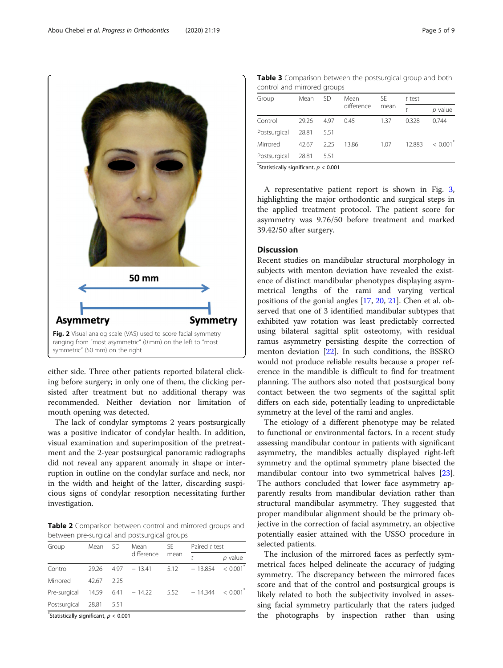<span id="page-4-0"></span>Abou Chebel et al. Progress in Orthodontics (2020) 21:19



either side. Three other patients reported bilateral clicking before surgery; in only one of them, the clicking persisted after treatment but no additional therapy was recommended. Neither deviation nor limitation of mouth opening was detected.

The lack of condylar symptoms 2 years postsurgically was a positive indicator of condylar health. In addition, visual examination and superimposition of the pretreatment and the 2-year postsurgical panoramic radiographs did not reveal any apparent anomaly in shape or interruption in outline on the condylar surface and neck, nor in the width and height of the latter, discarding suspicious signs of condylar resorption necessitating further investigation.

Table 2 Comparison between control and mirrored groups and between pre-surgical and postsurgical groups

| Group        | Mean  | SD   | Mean<br>difference | SE.<br>mean | Paired t test |                        |
|--------------|-------|------|--------------------|-------------|---------------|------------------------|
|              |       |      |                    |             |               | $p$ value              |
| Control      | 29.26 | 4.97 | $-13.41$           | 5.12        | $-13.854$     | $< 0.001$ <sup>*</sup> |
| Mirrored     | 42.67 | 225  |                    |             |               |                        |
| Pre-surgical | 14.59 | 6.41 | $-14.22$           | 5.52        | $-14.344$     | < 0.001                |
| Postsurgical | 28.81 | 5.51 |                    |             |               |                        |

 $*$ Statistically significant,  $p < 0.001$ 

Table 3 Comparison between the postsurgical group and both control and mirrored groups

| comeron anno minione a quo apo |       |      |                    |             |        |         |  |
|--------------------------------|-------|------|--------------------|-------------|--------|---------|--|
| Group                          | Mean  | SD   | Mean<br>difference | SE.<br>mean | t test |         |  |
|                                |       |      |                    |             |        | p value |  |
| Control                        | 29.26 | 497  | 0.45               | 1.37        | 0.328  | 0.744   |  |
| Postsurgical                   | 28.81 | 5.51 |                    |             |        |         |  |
| Mirrored                       | 42.67 | 2.25 | 13.86              | 1.07        | 12.883 | < 0.001 |  |
| Postsurgical                   | 28.81 | 5.51 |                    |             |        |         |  |
|                                |       |      |                    |             |        |         |  |

 $*$ Statistically significant,  $p < 0.001$ 

A representative patient report is shown in Fig. [3](#page-5-0), highlighting the major orthodontic and surgical steps in the applied treatment protocol. The patient score for asymmetry was 9.76/50 before treatment and marked 39.42/50 after surgery.

#### **Discussion**

Recent studies on mandibular structural morphology in subjects with menton deviation have revealed the existence of distinct mandibular phenotypes displaying asymmetrical lengths of the rami and varying vertical positions of the gonial angles [[17,](#page-7-0) [20,](#page-7-0) [21](#page-7-0)]. Chen et al. observed that one of 3 identified mandibular subtypes that exhibited yaw rotation was least predictably corrected using bilateral sagittal split osteotomy, with residual ramus asymmetry persisting despite the correction of menton deviation [[22\]](#page-7-0). In such conditions, the BSSRO would not produce reliable results because a proper reference in the mandible is difficult to find for treatment planning. The authors also noted that postsurgical bony contact between the two segments of the sagittal split differs on each side, potentially leading to unpredictable symmetry at the level of the rami and angles.

The etiology of a different phenotype may be related to functional or environmental factors. In a recent study assessing mandibular contour in patients with significant asymmetry, the mandibles actually displayed right-left symmetry and the optimal symmetry plane bisected the mandibular contour into two symmetrical halves [\[23](#page-7-0)]. The authors concluded that lower face asymmetry apparently results from mandibular deviation rather than structural mandibular asymmetry. They suggested that proper mandibular alignment should be the primary objective in the correction of facial asymmetry, an objective potentially easier attained with the USSO procedure in selected patients.

The inclusion of the mirrored faces as perfectly symmetrical faces helped delineate the accuracy of judging symmetry. The discrepancy between the mirrored faces score and that of the control and postsurgical groups is likely related to both the subjectivity involved in assessing facial symmetry particularly that the raters judged the photographs by inspection rather than using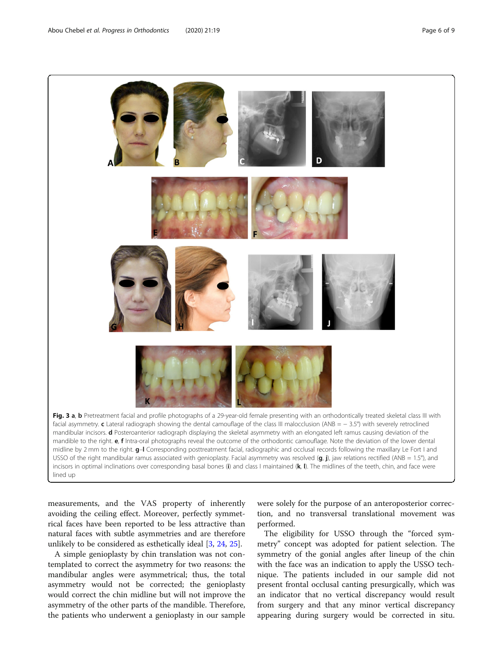<span id="page-5-0"></span>

measurements, and the VAS property of inherently avoiding the ceiling effect. Moreover, perfectly symmetrical faces have been reported to be less attractive than natural faces with subtle asymmetries and are therefore unlikely to be considered as esthetically ideal [[3,](#page-7-0) [24,](#page-7-0) [25\]](#page-7-0).

A simple genioplasty by chin translation was not contemplated to correct the asymmetry for two reasons: the mandibular angles were asymmetrical; thus, the total asymmetry would not be corrected; the genioplasty would correct the chin midline but will not improve the asymmetry of the other parts of the mandible. Therefore, the patients who underwent a genioplasty in our sample

were solely for the purpose of an anteroposterior correction, and no transversal translational movement was performed.

The eligibility for USSO through the "forced symmetry" concept was adopted for patient selection. The symmetry of the gonial angles after lineup of the chin with the face was an indication to apply the USSO technique. The patients included in our sample did not present frontal occlusal canting presurgically, which was an indicator that no vertical discrepancy would result from surgery and that any minor vertical discrepancy appearing during surgery would be corrected in situ.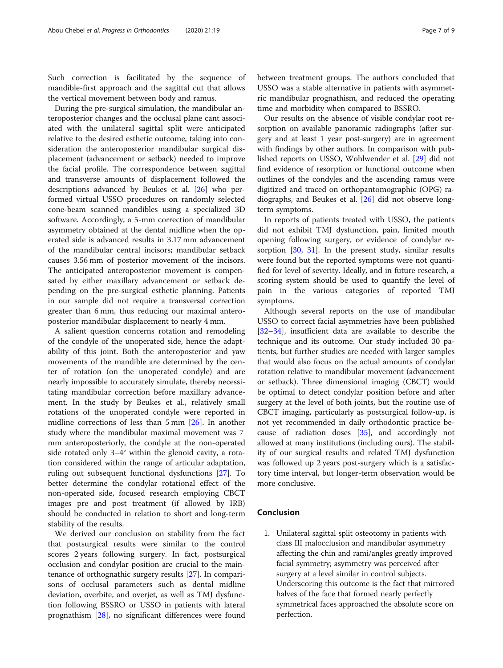Such correction is facilitated by the sequence of mandible-first approach and the sagittal cut that allows the vertical movement between body and ramus.

During the pre-surgical simulation, the mandibular anteroposterior changes and the occlusal plane cant associated with the unilateral sagittal split were anticipated relative to the desired esthetic outcome, taking into consideration the anteroposterior mandibular surgical displacement (advancement or setback) needed to improve the facial profile. The correspondence between sagittal and transverse amounts of displacement followed the descriptions advanced by Beukes et al. [[26\]](#page-7-0) who performed virtual USSO procedures on randomly selected cone-beam scanned mandibles using a specialized 3D software. Accordingly, a 5-mm correction of mandibular asymmetry obtained at the dental midline when the operated side is advanced results in 3.17 mm advancement of the mandibular central incisors; mandibular setback causes 3.56 mm of posterior movement of the incisors. The anticipated anteroposterior movement is compensated by either maxillary advancement or setback depending on the pre-surgical esthetic planning. Patients in our sample did not require a transversal correction greater than 6 mm, thus reducing our maximal anteroposterior mandibular displacement to nearly 4 mm.

A salient question concerns rotation and remodeling of the condyle of the unoperated side, hence the adaptability of this joint. Both the anteroposterior and yaw movements of the mandible are determined by the center of rotation (on the unoperated condyle) and are nearly impossible to accurately simulate, thereby necessitating mandibular correction before maxillary advancement. In the study by Beukes et al., relatively small rotations of the unoperated condyle were reported in midline corrections of less than 5 mm [[26](#page-7-0)]. In another study where the mandibular maximal movement was 7 mm anteroposteriorly, the condyle at the non-operated side rotated only 3–4° within the glenoid cavity, a rotation considered within the range of articular adaptation, ruling out subsequent functional dysfunctions [\[27](#page-7-0)]. To better determine the condylar rotational effect of the non-operated side, focused research employing CBCT images pre and post treatment (if allowed by IRB) should be conducted in relation to short and long-term stability of the results.

We derived our conclusion on stability from the fact that postsurgical results were similar to the control scores 2 years following surgery. In fact, postsurgical occlusion and condylar position are crucial to the maintenance of orthognathic surgery results [[27](#page-7-0)]. In comparisons of occlusal parameters such as dental midline deviation, overbite, and overjet, as well as TMJ dysfunction following BSSRO or USSO in patients with lateral prognathism [\[28](#page-8-0)], no significant differences were found

between treatment groups. The authors concluded that USSO was a stable alternative in patients with asymmetric mandibular prognathism, and reduced the operating time and morbidity when compared to BSSRO.

Our results on the absence of visible condylar root resorption on available panoramic radiographs (after surgery and at least 1 year post-surgery) are in agreement with findings by other authors. In comparison with published reports on USSO, Wohlwender et al. [[29\]](#page-8-0) did not find evidence of resorption or functional outcome when outlines of the condyles and the ascending ramus were digitized and traced on orthopantomographic (OPG) radiographs, and Beukes et al. [\[26](#page-7-0)] did not observe longterm symptoms.

In reports of patients treated with USSO, the patients did not exhibit TMJ dysfunction, pain, limited mouth opening following surgery, or evidence of condylar resorption [[30,](#page-8-0) [31\]](#page-8-0). In the present study, similar results were found but the reported symptoms were not quantified for level of severity. Ideally, and in future research, a scoring system should be used to quantify the level of pain in the various categories of reported TMJ symptoms.

Although several reports on the use of mandibular USSO to correct facial asymmetries have been published [[32](#page-8-0)–[34](#page-8-0)], insufficient data are available to describe the technique and its outcome. Our study included 30 patients, but further studies are needed with larger samples that would also focus on the actual amounts of condylar rotation relative to mandibular movement (advancement or setback). Three dimensional imaging (CBCT) would be optimal to detect condylar position before and after surgery at the level of both joints, but the routine use of CBCT imaging, particularly as postsurgical follow-up, is not yet recommended in daily orthodontic practice because of radiation doses [\[35\]](#page-8-0), and accordingly not allowed at many institutions (including ours). The stability of our surgical results and related TMJ dysfunction was followed up 2 years post-surgery which is a satisfactory time interval, but longer-term observation would be more conclusive.

## Conclusion

1. Unilateral sagittal split osteotomy in patients with class III malocclusion and mandibular asymmetry affecting the chin and rami/angles greatly improved facial symmetry; asymmetry was perceived after surgery at a level similar in control subjects. Underscoring this outcome is the fact that mirrored halves of the face that formed nearly perfectly symmetrical faces approached the absolute score on perfection.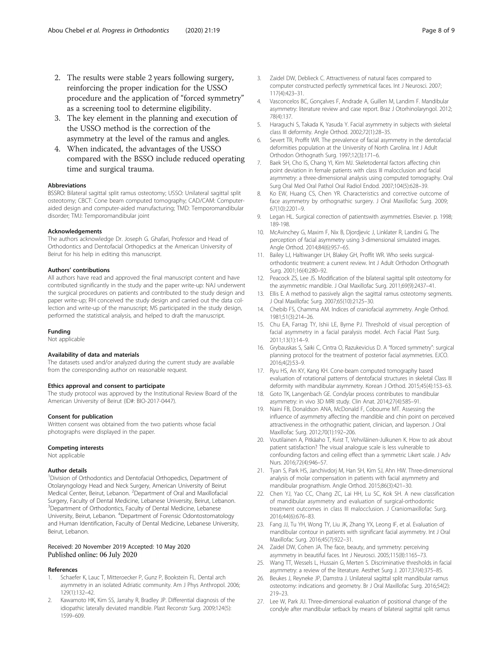- <span id="page-7-0"></span>2. The results were stable 2 years following surgery, reinforcing the proper indication for the USSO procedure and the application of "forced symmetry" as a screening tool to determine eligibility.
- 3. The key element in the planning and execution of the USSO method is the correction of the asymmetry at the level of the ramus and angles.
- 4. When indicated, the advantages of the USSO compared with the BSSO include reduced operating time and surgical trauma.

#### Abbreviations

BSSRO: Bilateral sagittal split ramus osteotomy; USSO: Unilateral sagittal split osteotomy; CBCT: Cone beam computed tomography; CAD/CAM: Computeraided design and computer-aided manufacturing; TMD: Temporomandibular disorder; TMJ: Temporomandibular joint

#### Acknowledgements

The authors acknowledge Dr. Joseph G. Ghafari, Professor and Head of Orthodontics and Dentofacial Orthopedics at the American University of Beirut for his help in editing this manuscript.

#### Authors' contributions

All authors have read and approved the final manuscript content and have contributed significantly in the study and the paper write-up: NAJ underwent the surgical procedures on patients and contributed to the study design and paper write-up; RH conceived the study design and carried out the data collection and write-up of the manuscript; MS participated in the study design, performed the statistical analysis, and helped to draft the manuscript.

#### Funding

Not applicable

#### Availability of data and materials

The datasets used and/or analyzed during the current study are available from the corresponding author on reasonable request.

#### Ethics approval and consent to participate

The study protocol was approved by the Institutional Review Board of the American University of Beirut (ID#: BIO-2017-0447).

#### Consent for publication

Written consent was obtained from the two patients whose facial photographs were displayed in the paper.

#### Competing interests

Not applicable

#### Author details

<sup>1</sup> Division of Orthodontics and Dentofacial Orthopedics, Department of Otolaryngology Head and Neck Surgery, American University of Beirut Medical Center, Beirut, Lebanon. <sup>2</sup>Department of Oral and Maxillofacial Surgery, Faculty of Dental Medicine, Lebanese University, Beirut, Lebanon. <sup>3</sup>Department of Orthodontics, Faculty of Dental Medicine, Lebanese University, Beirut, Lebanon. <sup>4</sup>Department of Forensic Odontostomatology and Human Identification, Faculty of Dental Medicine, Lebanese University, Beirut, Lebanon.

#### Received: 20 November 2019 Accepted: 10 May 2020 Published online: 06 July 2020

#### References

- Schaefer K, Lauc T, Mitteroecker P, Gunz P, Bookstein FL. Dental arch asymmetry in an isolated Adriatic community. Am J Phys Anthropol. 2006; 129(1):132–42.
- Kawamoto HK, Kim SS, Jarrahy R, Bradley JP. Differential diagnosis of the idiopathic laterally deviated mandible. Plast Reconstr Surg. 2009;124(5): 1599–609.
- 3. Zaidel DW, Deblieck C. Attractiveness of natural faces compared to computer constructed perfectly symmetrical faces. Int J Neurosci. 2007; 117(4):423–31.
- 4. Vasconcelos BC, Gonçalves F, Andrade A, Guillen M, Landim F. Mandibular asymmetry: literature review and case report. Braz J Otorhinolaryngol. 2012; 78(4):137.
- 5. Haraguchi S, Takada K, Yasuda Y. Facial asymmetry in subjects with skeletal class III deformity. Angle Orthod. 2002;72(1):28–35.
- 6. Severt TR, Proffit WR. The prevalence of facial asymmetry in the dentofacial deformities population at the University of North Carolina. Int J Adult Orthodon Orthognath Surg. 1997;12(3):171–6.
- 7. Baek SH, Cho IS, Chang YI, Kim MJ. Skeletodental factors affecting chin point deviation in female patients with class III malocclusion and facial asymmetry: a three-dimensional analysis using computed tomography. Oral Surg Oral Med Oral Pathol Oral Radiol Endod. 2007;104(5):628–39.
- 8. Ko EW, Huang CS, Chen YR. Characteristics and corrective outcome of face asymmetry by orthognathic surgery. J Oral Maxillofac Surg. 2009; 67(10):2201–9.
- 9. Legan HL. Surgical correction of patientswith asymmetries. Elsevier. p. 1998; 189-198.
- 10. McAvinchey G, Maxim F, Nix B, Djordjevic J, Linklater R, Landini G. The perception of facial asymmetry using 3-dimensional simulated images. Angle Orthod. 2014;84(6):957–65.
- 11. Bailey LJ, Haltiwanger LH, Blakey GH, Proffit WR. Who seeks surgicalorthodontic treatment: a current review. Int J Adult Orthodon Orthognath Surg. 2001;16(4):280–92.
- 12. Peacock ZS, Lee JS. Modification of the bilateral sagittal split osteotomy for the asymmetric mandible. J Oral Maxillofac Surg. 2011;69(9):2437–41.
- 13. Ellis E. A method to passively align the sagittal ramus osteotomy segments. J Oral Maxillofac Surg. 2007;65(10):2125–30.
- 14. Chebib FS, Chamma AM. Indices of craniofacial asymmetry. Angle Orthod. 1981;51(3):214–26.
- 15. Chu EA, Farrag TY, Ishii LE, Byrne PJ. Threshold of visual perception of facial asymmetry in a facial paralysis model. Arch Facial Plast Surg. 2011;13(1):14–9.
- 16. Grybauskas S, Saiki C, Cintra O, Razukevicius D. A "forced symmetry": surgical planning protocol for the treatment of posterior facial asymmetries. EJCO. 2016;4(2):53–9.
- 17. Ryu HS, An KY, Kang KH. Cone-beam computed tomography based evaluation of rotational patterns of dentofacial structures in skeletal Class III deformity with mandibular asymmetry. Korean J Orthod. 2015;45(4):153–63.
- 18. Goto TK, Langenbach GE. Condylar process contributes to mandibular asymmetry: in vivo 3D MRI study. Clin Anat. 2014;27(4):585–91.
- 19. Naini FB, Donaldson ANA, McDonald F, Cobourne MT. Assessing the influence of asymmetry affecting the mandible and chin point on perceived attractiveness in the orthognathic patient, clinician, and layperson. J Oral Maxillofac Surg. 2012;70(1):192–206.
- 20. Voutilainen A, Pitkäaho T, Kvist T, Vehviläinen-Julkunen K. How to ask about patient satisfaction? The visual analogue scale is less vulnerable to confounding factors and ceiling effect than a symmetric Likert scale. J Adv Nurs. 2016;72(4):946–57.
- 21. Tyan S, Park HS, Janchivdorj M, Han SH, Kim SJ, Ahn HW. Three-dimensional analysis of molar compensation in patients with facial asymmetry and mandibular prognathism. Angle Orthod. 2015;86(3):421–30.
- 22. Chen YJ, Yao CC, Chang ZC, Lai HH, Lu SC, Kok SH. A new classification of mandibular asymmetry and evaluation of surgical-orthodontic treatment outcomes in class III malocclusion. J Craniomaxillofac Surg. 2016;44(6):676–83.
- 23. Fang JJ, Tu YH, Wong TY, Liu JK, Zhang YX, Leong IF, et al. Evaluation of mandibular contour in patients with significant facial asymmetry. Int J Oral Maxillofac Surg. 2016;45(7):922–31.
- 24. Zaidel DW, Cohen JA. The face, beauty, and symmetry: perceiving asymmetry in beautiful faces. Int J Neurosci. 2005;115(8):1165–73.
- 25. Wang TT, Wessels L, Hussain G, Merten S. Discriminative thresholds in facial asymmetry: a review of the literature. Aesthet Surg J. 2017;37(4):375–85.
- 26. Beukes J, Reyneke JP, Damstra J. Unilateral sagittal split mandibular ramus osteotomy: indications and geometry. Br J Oral Maxillofac Surg. 2016;54(2): 219–23.
- 27. Lee W, Park JU. Three-dimensional evaluation of positional change of the condyle after mandibular setback by means of bilateral sagittal split ramus